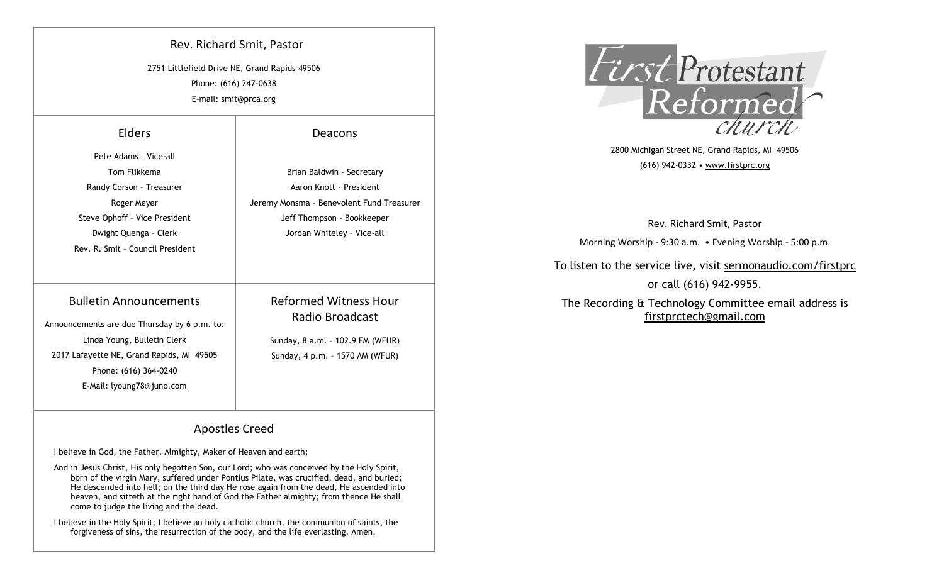| Rev. Richard Smit, Pastor                     |
|-----------------------------------------------|
| 2751 Littlefield Drive NE, Grand Rapids 49506 |
| Phone: (616) 247-0638                         |
| E-mail: smit@prca.org                         |

# Elders

| Pete Adams - Vice-all                        |                                           |  |  |
|----------------------------------------------|-------------------------------------------|--|--|
| Tom Flikkema                                 | Brian Baldwin - Secretary                 |  |  |
| Randy Corson - Treasurer                     | Aaron Knott - President                   |  |  |
| Roger Meyer                                  | Jeremy Monsma - Benevolent Fund Treasurer |  |  |
| Steve Ophoff - Vice President                | Jeff Thompson - Bookkeeper                |  |  |
| Dwight Quenga - Clerk                        | Jordan Whiteley - Vice-all                |  |  |
| Rev. R. Smit - Council President             |                                           |  |  |
|                                              |                                           |  |  |
| <b>Bulletin Announcements</b>                | <b>Reformed Witness Hour</b>              |  |  |
| Announcements are due Thursday by 6 p.m. to: | Radio Broadcast                           |  |  |
| Linda Young, Bulletin Clerk                  | Sunday, 8 a.m. - 102.9 FM (WFUR)          |  |  |
| 2017 Lafayette NE, Grand Rapids, MI 49505    | Sunday, 4 p.m. - 1570 AM (WFUR)           |  |  |
| Phone: (616) 364-0240                        |                                           |  |  |
| E-Mail: lyoung78@juno.com                    |                                           |  |  |
|                                              |                                           |  |  |

### Deacons



2800 Michigan Street NE, Grand Rapids, MI 49506 (616) 942-0332 • www.firstprc.org

Rev. Richard Smit, Pastor

Morning Worship - 9:30 a.m. • Evening Worship - 5:00 p.m.

## To listen to the service live, visit sermonaudio.com/firstprc

or call (616) 942-9955.

The Recording & Technology Committee email address is firstprctech@gmail.com

## Apostles Creed

I believe in God, the Father, Almighty, Maker of Heaven and earth;

And in Jesus Christ, His only begotten Son, our Lord; who was conceived by the Holy Spirit, born of the virgin Mary, suffered under Pontius Pilate, was crucified, dead, and buried; He descended into hell; on the third day He rose again from the dead, He ascended into heaven, and sitteth at the right hand of God the Father almighty; from thence He shall come to judge the living and the dead.

I believe in the Holy Spirit; I believe an holy catholic church, the communion of saints, the forgiveness of sins, the resurrection of the body, and the life everlasting. Amen.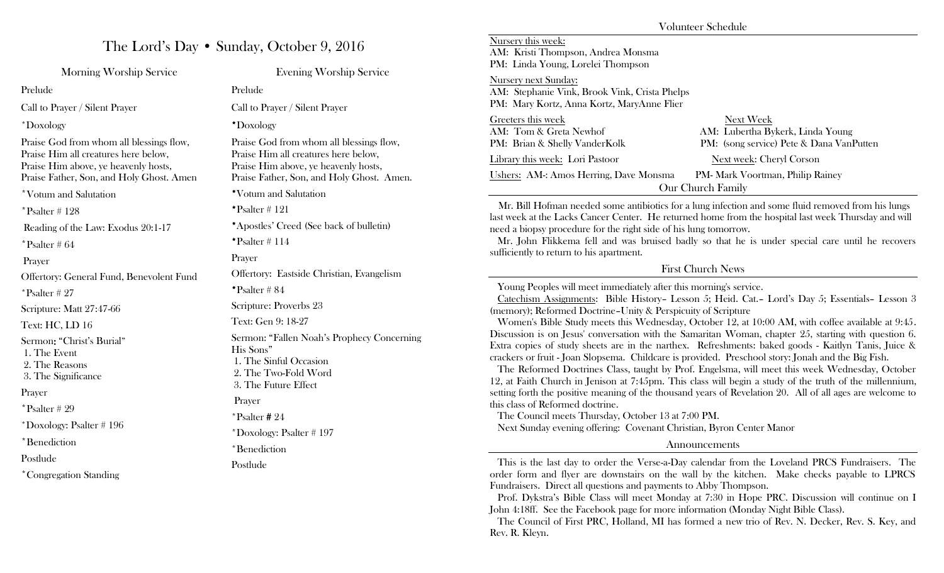|                                                                                    |                                                                                                                                   |                                                                                                                                                                                                                                                                                                                                                                                                                                                                                                                                | Volunteer Schedule                                                                                        |  |
|------------------------------------------------------------------------------------|-----------------------------------------------------------------------------------------------------------------------------------|--------------------------------------------------------------------------------------------------------------------------------------------------------------------------------------------------------------------------------------------------------------------------------------------------------------------------------------------------------------------------------------------------------------------------------------------------------------------------------------------------------------------------------|-----------------------------------------------------------------------------------------------------------|--|
| The Lord's Day • Sunday, October 9, 2016                                           |                                                                                                                                   | Nursery this week:<br>AM: Kristi Thompson, Andrea Monsma                                                                                                                                                                                                                                                                                                                                                                                                                                                                       |                                                                                                           |  |
| Morning Worship Service                                                            | <b>Evening Worship Service</b>                                                                                                    | PM: Linda Young, Lorelei Thompson<br>Nursery next Sunday:<br>AM: Stephanie Vink, Brook Vink, Crista Phelps                                                                                                                                                                                                                                                                                                                                                                                                                     |                                                                                                           |  |
| Prelude                                                                            | Prelude                                                                                                                           |                                                                                                                                                                                                                                                                                                                                                                                                                                                                                                                                |                                                                                                           |  |
| Call to Prayer / Silent Prayer                                                     | Call to Prayer / Silent Prayer                                                                                                    | PM: Mary Kortz, Anna Kortz, MaryAnne Flier                                                                                                                                                                                                                                                                                                                                                                                                                                                                                     |                                                                                                           |  |
| *Doxology                                                                          | *Doxology                                                                                                                         | Greeters this week<br>AM: Tom & Greta Newhof                                                                                                                                                                                                                                                                                                                                                                                                                                                                                   | Next Week<br>AM: Lubertha Bykerk, Linda Young                                                             |  |
| Praise God from whom all blessings flow,                                           | Praise God from whom all blessings flow,                                                                                          | PM: Brian & Shelly VanderKolk                                                                                                                                                                                                                                                                                                                                                                                                                                                                                                  | PM: (song service) Pete & Dana VanPutten                                                                  |  |
| Praise Him all creatures here below,<br>Praise Him above, ye heavenly hosts,       | Praise Him all creatures here below,<br>Praise Him above, ye heavenly hosts,                                                      | Library this week: Lori Pastoor                                                                                                                                                                                                                                                                                                                                                                                                                                                                                                | Next week: Cheryl Corson                                                                                  |  |
| Praise Father, Son, and Holy Ghost. Amen                                           | Praise Father, Son, and Holy Ghost. Amen.                                                                                         | <b>Ushers: AM-: Amos Herring, Dave Monsma</b>                                                                                                                                                                                                                                                                                                                                                                                                                                                                                  | PM- Mark Voortman, Philip Rainey<br>Our Church Family                                                     |  |
| *Votum and Salutation                                                              | *Votum and Salutation                                                                                                             | Mr. Bill Hofman needed some antibiotics for a lung infection and some fluid removed from his lungs                                                                                                                                                                                                                                                                                                                                                                                                                             |                                                                                                           |  |
| $*$ Psalter # 128                                                                  | "Psalter # 121                                                                                                                    |                                                                                                                                                                                                                                                                                                                                                                                                                                                                                                                                | last week at the Lacks Cancer Center. He returned home from the hospital last week Thursday and will      |  |
| Reading of the Law: Exodus 20:1-17                                                 | *Apostles' Creed (See back of bulletin)                                                                                           | need a biopsy procedure for the right side of his lung tomorrow.<br>Mr. John Flikkema fell and was bruised badly so that he is under special care until he recovers<br>sufficiently to return to his apartment.                                                                                                                                                                                                                                                                                                                |                                                                                                           |  |
| $*$ Psalter #64                                                                    | "Psalter # 114                                                                                                                    |                                                                                                                                                                                                                                                                                                                                                                                                                                                                                                                                |                                                                                                           |  |
| Prayer                                                                             | Prayer                                                                                                                            |                                                                                                                                                                                                                                                                                                                                                                                                                                                                                                                                |                                                                                                           |  |
| Offertory: General Fund, Benevolent Fund                                           | Offertory: Eastside Christian, Evangelism                                                                                         | <b>First Church News</b>                                                                                                                                                                                                                                                                                                                                                                                                                                                                                                       |                                                                                                           |  |
| $*$ Psalter # 27                                                                   | *Psalter #84                                                                                                                      | Young Peoples will meet immediately after this morning's service.                                                                                                                                                                                                                                                                                                                                                                                                                                                              |                                                                                                           |  |
| Scripture: Matt 27:47-66                                                           | Scripture: Proverbs 23                                                                                                            | Catechism Assignments: Bible History- Lesson 5; Heid. Cat.- Lord's Day 5; Essentials- Lesson 3<br>(memory); Reformed Doctrine-Unity & Perspicuity of Scripture                                                                                                                                                                                                                                                                                                                                                                 |                                                                                                           |  |
| Text: HC, LD 16                                                                    | Text: Gen 9: 18-27                                                                                                                | Women's Bible Study meets this Wednesday, October 12, at 10:00 AM, with coffee available at 9:45.                                                                                                                                                                                                                                                                                                                                                                                                                              |                                                                                                           |  |
| Sermon: "Christ's Burial"<br>1. The Event<br>2. The Reasons<br>3. The Significance | Sermon: "Fallen Noah's Prophecy Concerning<br>His Sons"<br>1. The Sinful Occasion<br>2. The Two-Fold Word<br>3. The Future Effect | Discussion is on Jesus' conversation with the Samaritan Woman, chapter 25, starting with question 6.<br>Extra copies of study sheets are in the narthex. Refreshments: baked goods - Kaitlyn Tanis, Juice &<br>crackers or fruit - Joan Slopsema. Childcare is provided. Preschool story: Jonah and the Big Fish.<br>The Reformed Doctrines Class, taught by Prof. Engelsma, will meet this week Wednesday, October<br>12, at Faith Church in Jenison at 7:45pm. This class will begin a study of the truth of the millennium, |                                                                                                           |  |
| Prayer                                                                             | Prayer                                                                                                                            |                                                                                                                                                                                                                                                                                                                                                                                                                                                                                                                                | setting forth the positive meaning of the thousand years of Revelation 20. All of all ages are welcome to |  |
| $*$ Psalter #29                                                                    | $*$ Psalter #24                                                                                                                   | this class of Reformed doctrine.<br>The Council meets Thursday, October 13 at 7:00 PM.                                                                                                                                                                                                                                                                                                                                                                                                                                         |                                                                                                           |  |
| *Doxology: Psalter $# 196$                                                         | *Doxology: Psalter $# 197$                                                                                                        | Next Sunday evening offering: Covenant Christian, Byron Center Manor                                                                                                                                                                                                                                                                                                                                                                                                                                                           |                                                                                                           |  |
| *Benediction                                                                       | *Benediction                                                                                                                      |                                                                                                                                                                                                                                                                                                                                                                                                                                                                                                                                | Announcements                                                                                             |  |
| Postlude                                                                           | Postlude                                                                                                                          | This is the last day to order the Verse-a-Day calendar from the Loveland PRCS Fundraisers. The                                                                                                                                                                                                                                                                                                                                                                                                                                 |                                                                                                           |  |
| *Congregation Standing                                                             |                                                                                                                                   |                                                                                                                                                                                                                                                                                                                                                                                                                                                                                                                                | order form and flyer are downstairs on the wall by the kitchen. Make checks payable to LPRCS              |  |

Fundraisers. Direct all questions and payments to Abby Thompson. Prof. Dykstra's Bible Class will meet Monday at 7:30 in Hope PRC. Discussion will continue on I John 4:18ff. See the Facebook page for more information (Monday Night Bible Class).

 The Council of First PRC, Holland, MI has formed a new trio of Rev. N. Decker, Rev. S. Key, and Rev. R. Kleyn.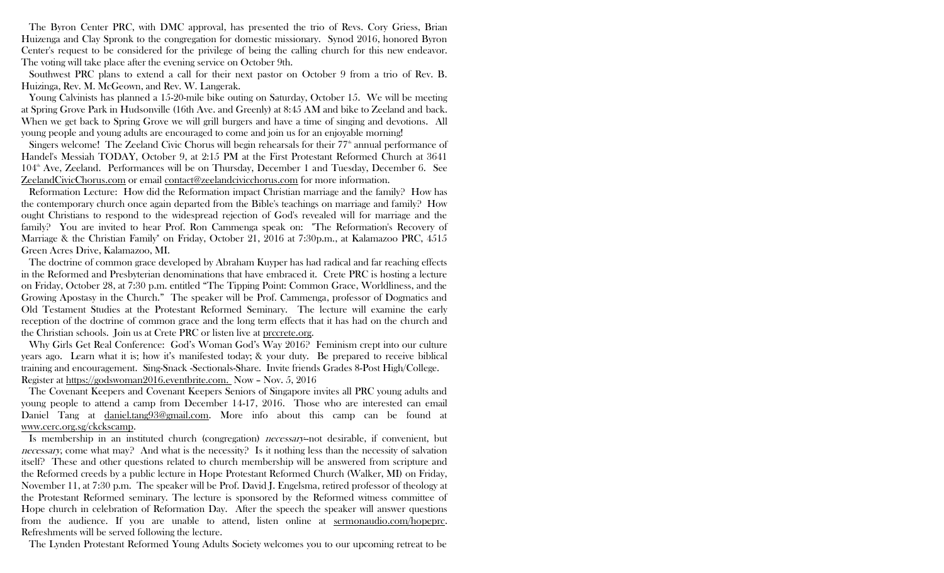Announcements Huizenga and Clay Spronk to the congregation for domestic missionary. Synod 2016, honored Byron The Byron Center PRC, with DMC approval, has presented the trio of Revs. Cory Griess, Brian Center's request to be considered for the privilege of being the calling church for this new endeavor. The voting will take place after the evening service on October 9th.

 Southwest PRC plans to extend a call for their next pastor on October 9 from a trio of Rev. B. Huizinga, Rev. M. McGeown, and Rev. W. Langerak.

 Young Calvinists has planned a 15-20-mile bike outing on Saturday, October 15. We will be meeting at Spring Grove Park in Hudsonville (16th Ave. and Greenly) at 8:45 AM and bike to Zeeland and back. When we get back to Spring Grove we will grill burgers and have a time of singing and devotions. All young people and young adults are encouraged to come and join us for an enjoyable morning!

Singers welcome! The Zeeland Civic Chorus will begin rehearsals for their  $77<sup>th</sup>$  annual performance of Handel's Messiah TODAY, October 9, at 2:15 PM at the First Protestant Reformed Church at 3641 104th Ave, Zeeland. Performances will be on Thursday, December 1 and Tuesday, December 6. See ZeelandCivicChorus.com or email contact@zeelandcivicchorus.com for more information.

 Reformation Lecture: How did the Reformation impact Christian marriage and the family? How has the contemporary church once again departed from the Bible's teachings on marriage and family? How ought Christians to respond to the widespread rejection of God's revealed will for marriage and the family? You are invited to hear Prof. Ron Cammenga speak on: "The Reformation's Recovery of Marriage & the Christian Family" on Friday, October 21, 2016 at 7:30p.m., at Kalamazoo PRC, 4515 Green Acres Drive, Kalamazoo, MI.

The doctrine of common grace developed by Abraham Kuyper has had radical and far reaching effects in the Reformed and Presbyterian denominations that have embraced it. Crete PRC is hosting a lecture on Friday, October 28, at 7:30 p.m. entitled "The Tipping Point: Common Grace, Worldliness, and the Growing Apostasy in the Church." The speaker will be Prof. Cammenga, professor of Dogmatics and Old Testament Studies at the Protestant Reformed Seminary. The lecture will examine the early reception of the doctrine of common grace and the long term effects that it has had on the church and the Christian schools. Join us at Crete PRC or listen live at prccrete.org.

 Why Girls Get Real Conference: God's Woman God's Way 2016? Feminism crept into our culture years ago. Learn what it is; how it's manifested today; & your duty. Be prepared to receive biblical training and encouragement. Sing-Snack -Sectionals-Share. Invite friends Grades 8-Post High/College. Register at https://godswoman2016.eventbrite.com. Now – Nov. 5, 2016

 The Covenant Keepers and Covenant Keepers Seniors of Singapore invites all PRC young adults and young people to attend a camp from December 14-17, 2016. Those who are interested can email Daniel Tang at daniel.tang93@gmail.com. More info about this camp can be found at www.cerc.org.sg/ckckscamp.

 Is membership in an instituted church (congregation) necessary--not desirable, if convenient, but necessary, come what may? And what is the necessity? Is it nothing less than the necessity of salvation itself? These and other questions related to church membership will be answered from scripture and the Reformed creeds by a public lecture in Hope Protestant Reformed Church (Walker, MI) on Friday, November 11, at 7:30 p.m. The speaker will be Prof. David J. Engelsma, retired professor of theology at the Protestant Reformed seminary. The lecture is sponsored by the Reformed witness committee of Hope church in celebration of Reformation Day. After the speech the speaker will answer questions from the audience. If you are unable to attend, listen online at sermonaudio.com/hopeprc. Refreshments will be served following the lecture.

The Lynden Protestant Reformed Young Adults Society welcomes you to our upcoming retreat to be